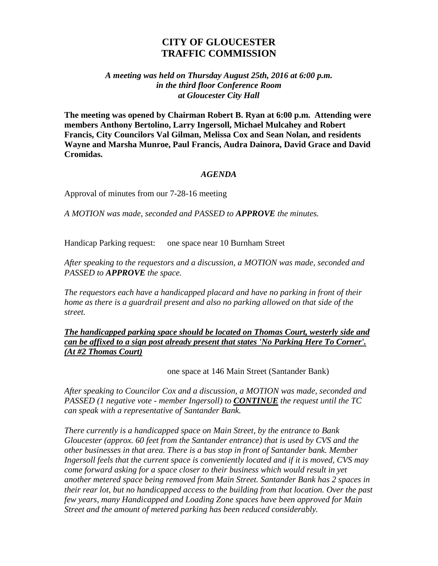# **CITY OF GLOUCESTER TRAFFIC COMMISSION**

#### *A meeting was held on Thursday August 25th, 2016 at 6:00 p.m. in the third floor Conference Room at Gloucester City Hall*

**The meeting was opened by Chairman Robert B. Ryan at 6:00 p.m. Attending were members Anthony Bertolino, Larry Ingersoll, Michael Mulcahey and Robert Francis, City Councilors Val Gilman, Melissa Cox and Sean Nolan, and residents Wayne and Marsha Munroe, Paul Francis, Audra Dainora, David Grace and David Cromidas.**

#### *AGENDA*

Approval of minutes from our 7-28-16 meeting

*A MOTION was made, seconded and PASSED to APPROVE the minutes.*

Handicap Parking request: one space near 10 Burnham Street

*After speaking to the requestors and a discussion, a MOTION was made, seconded and PASSED to APPROVE the space.*

*The requestors each have a handicapped placard and have no parking in front of their home as there is a guardrail present and also no parking allowed on that side of the street.*

*The handicapped parking space should be located on Thomas Court, westerly side and can be affixed to a sign post already present that states 'No Parking Here To Corner'. (At #2 Thomas Court)*

one space at 146 Main Street (Santander Bank)

*After speaking to Councilor Cox and a discussion, a MOTION was made, seconded and PASSED (1 negative vote - member Ingersoll) to CONTINUE the request until the TC can speak with a representative of Santander Bank.*

*There currently is a handicapped space on Main Street, by the entrance to Bank Gloucester (approx. 60 feet from the Santander entrance) that is used by CVS and the other businesses in that area. There is a bus stop in front of Santander bank. Member Ingersoll feels that the current space is conveniently located and if it is moved, CVS may come forward asking for a space closer to their business which would result in yet another metered space being removed from Main Street. Santander Bank has 2 spaces in their rear lot, but no handicapped access to the building from that location. Over the past few years, many Handicapped and Loading Zone spaces have been approved for Main Street and the amount of metered parking has been reduced considerably.*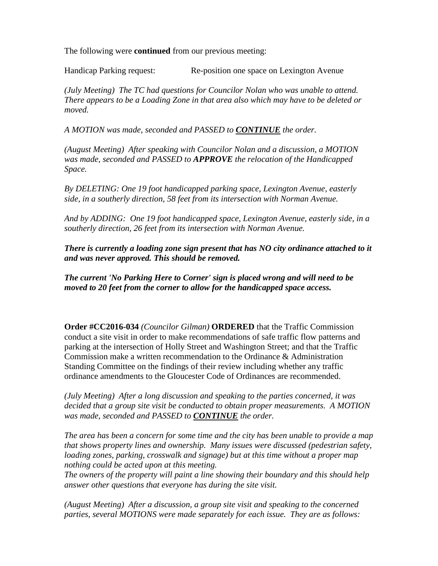The following were **continued** from our previous meeting:

Handicap Parking request: Re-position one space on Lexington Avenue

*(July Meeting) The TC had questions for Councilor Nolan who was unable to attend. There appears to be a Loading Zone in that area also which may have to be deleted or moved.*

*A MOTION was made, seconded and PASSED to CONTINUE the order.*

*(August Meeting) After speaking with Councilor Nolan and a discussion, a MOTION was made, seconded and PASSED to APPROVE the relocation of the Handicapped Space.*

*By DELETING: One 19 foot handicapped parking space, Lexington Avenue, easterly side, in a southerly direction, 58 feet from its intersection with Norman Avenue.*

*And by ADDING: One 19 foot handicapped space, Lexington Avenue, easterly side, in a southerly direction, 26 feet from its intersection with Norman Avenue.*

*There is currently a loading zone sign present that has NO city ordinance attached to it and was never approved. This should be removed.* 

*The current 'No Parking Here to Corner' sign is placed wrong and will need to be moved to 20 feet from the corner to allow for the handicapped space access.*

**Order #CC2016-034** *(Councilor Gilman)* **ORDERED** that the Traffic Commission conduct a site visit in order to make recommendations of safe traffic flow patterns and parking at the intersection of Holly Street and Washington Street; and that the Traffic Commission make a written recommendation to the Ordinance & Administration Standing Committee on the findings of their review including whether any traffic ordinance amendments to the Gloucester Code of Ordinances are recommended.

*(July Meeting) After a long discussion and speaking to the parties concerned, it was decided that a group site visit be conducted to obtain proper measurements. A MOTION was made, seconded and PASSED to CONTINUE the order.*

*The area has been a concern for some time and the city has been unable to provide a map that shows property lines and ownership. Many issues were discussed (pedestrian safety, loading zones, parking, crosswalk and signage) but at this time without a proper map nothing could be acted upon at this meeting.*

*The owners of the property will paint a line showing their boundary and this should help answer other questions that everyone has during the site visit.*

*(August Meeting) After a discussion, a group site visit and speaking to the concerned parties, several MOTIONS were made separately for each issue. They are as follows:*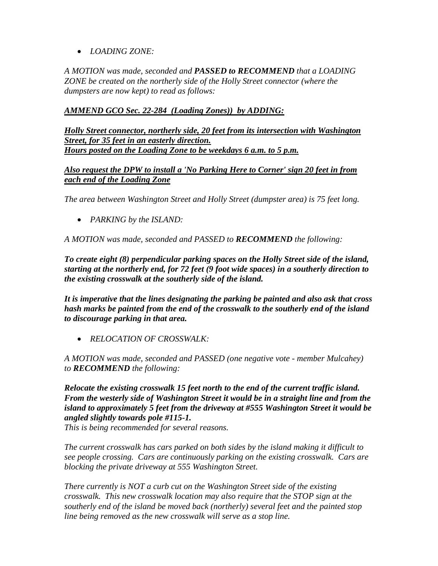• *LOADING ZONE:*

*A MOTION was made, seconded and PASSED to RECOMMEND that a LOADING ZONE be created on the northerly side of the Holly Street connector (where the dumpsters are now kept) to read as follows:*

### *AMMEND GCO Sec. 22-284 (Loading Zones)) by ADDING:*

*Holly Street connector, northerly side, 20 feet from its intersection with Washington Street, for 35 feet in an easterly direction. Hours posted on the Loading Zone to be weekdays 6 a.m. to 5 p.m.*

### *Also request the DPW to install a 'No Parking Here to Corner' sign 20 feet in from each end of the Loading Zone*

*The area between Washington Street and Holly Street (dumpster area) is 75 feet long.*

• *PARKING by the ISLAND:*

*A MOTION was made, seconded and PASSED to RECOMMEND the following:*

*To create eight (8) perpendicular parking spaces on the Holly Street side of the island, starting at the northerly end, for 72 feet (9 foot wide spaces) in a southerly direction to the existing crosswalk at the southerly side of the island.* 

*It is imperative that the lines designating the parking be painted and also ask that cross hash marks be painted from the end of the crosswalk to the southerly end of the island to discourage parking in that area.* 

• *RELOCATION OF CROSSWALK:*

*A MOTION was made, seconded and PASSED (one negative vote - member Mulcahey) to RECOMMEND the following:*

*Relocate the existing crosswalk 15 feet north to the end of the current traffic island. From the westerly side of Washington Street it would be in a straight line and from the island to approximately 5 feet from the driveway at #555 Washington Street it would be angled slightly towards pole #115-1.*

*This is being recommended for several reasons.*

*The current crosswalk has cars parked on both sides by the island making it difficult to see people crossing. Cars are continuously parking on the existing crosswalk. Cars are blocking the private driveway at 555 Washington Street.*

*There currently is NOT a curb cut on the Washington Street side of the existing crosswalk. This new crosswalk location may also require that the STOP sign at the southerly end of the island be moved back (northerly) several feet and the painted stop line being removed as the new crosswalk will serve as a stop line.*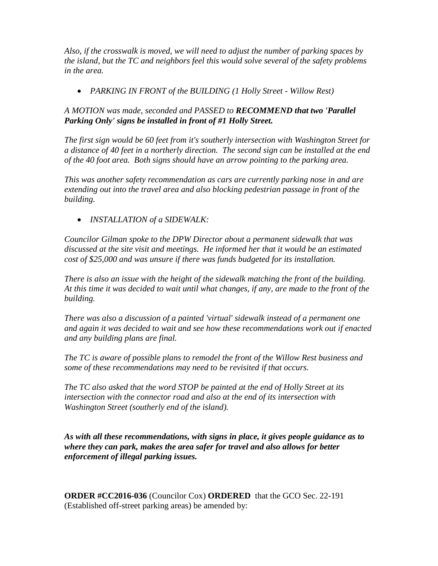*Also, if the crosswalk is moved, we will need to adjust the number of parking spaces by the island, but the TC and neighbors feel this would solve several of the safety problems in the area.*

• *PARKING IN FRONT of the BUILDING (1 Holly Street - Willow Rest)*

## *A MOTION was made, seconded and PASSED to RECOMMEND that two 'Parallel Parking Only' signs be installed in front of #1 Holly Street.*

*The first sign would be 60 feet from it's southerly intersection with Washington Street for a distance of 40 feet in a northerly direction. The second sign can be installed at the end of the 40 foot area. Both signs should have an arrow pointing to the parking area.*

*This was another safety recommendation as cars are currently parking nose in and are extending out into the travel area and also blocking pedestrian passage in front of the building.*

• *INSTALLATION of a SIDEWALK:*

*Councilor Gilman spoke to the DPW Director about a permanent sidewalk that was discussed at the site visit and meetings. He informed her that it would be an estimated cost of \$25,000 and was unsure if there was funds budgeted for its installation.*

*There is also an issue with the height of the sidewalk matching the front of the building. At this time it was decided to wait until what changes, if any, are made to the front of the building.*

*There was also a discussion of a painted 'virtual' sidewalk instead of a permanent one and again it was decided to wait and see how these recommendations work out if enacted and any building plans are final.*

*The TC is aware of possible plans to remodel the front of the Willow Rest business and some of these recommendations may need to be revisited if that occurs.*

*The TC also asked that the word STOP be painted at the end of Holly Street at its intersection with the connector road and also at the end of its intersection with Washington Street (southerly end of the island).* 

*As with all these recommendations, with signs in place, it gives people guidance as to where they can park, makes the area safer for travel and also allows for better enforcement of illegal parking issues.* 

**ORDER #CC2016-036** (Councilor Cox) **ORDERED** that the GCO Sec. 22-191 (Established off-street parking areas) be amended by: